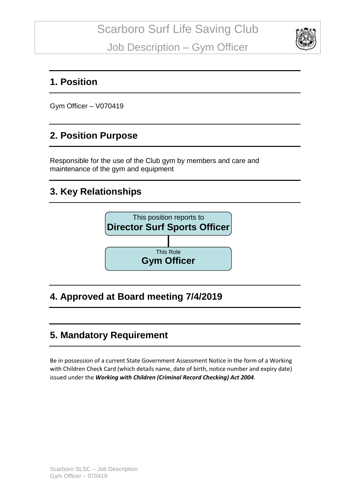

#### **1. Position**

Gym Officer – V070419

#### **2. Position Purpose**

Responsible for the use of the Club gym by members and care and maintenance of the gym and equipment

#### **3. Key Relationships**



# **4. Approved at Board meeting 7/4/2019**

# **5. Mandatory Requirement**

Be in possession of a current State Government Assessment Notice in the form of a Working with Children Check Card (which details name, date of birth, notice number and expiry date) issued under the *Working with Children (Criminal Record Checking) Act 2004*.